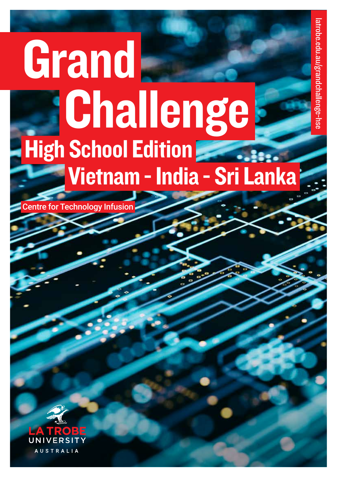# **Grand** Challenge Vietnam - India - Sri Lanka High School Edition

Centre for Technology Infusion

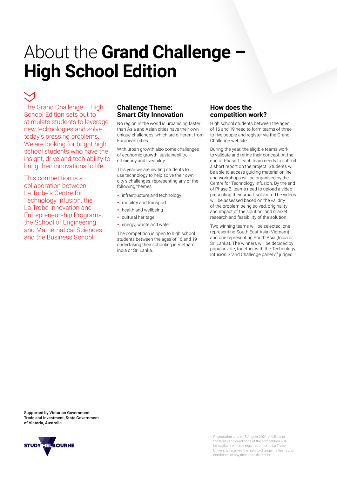## About the **Grand Challenge – High School Edition**

The Grand Challenge – High School Edition sets out to stimulate students to leverage new technologies and solve today's pressing problems. We are looking for bright high school students who have the insight, drive and tech ability to bring their innovations to life.

This competition is a collaboration between La Trobe's Centre for Technology Infusion, the La Trobe Innovation and Entrepreneurship Programs, the School of Engineering and Mathematical Sciences and the Business School.

## **Challenge Theme: Smart City Innovation**

No region in the world is urbanising faster than Asia and Asian cities have their own unique challenges, which are different from European cities.

With urban growth also come challenges of economic growth, sustainability, efficiency and liveability.

This year we are inviting students to use technology to help solve their own city's challenges, representing any of the following themes:

- infrastructure and technology
- mobility and transport
- health and wellbeing
- cultural heritage
- energy, waste and water.

The competition is open to high school students between the ages of 16 and 19 undertaking their schooling in Vietnam, India or Sri Lanka.

## **How does the competition work?**

High school students between the ages of 16 and 19 need to form teams of three to five people and register via the Grand Challenge website.

During the year, the eligible teams work to validate and refine their concept. At the end of Phase 1, each team needs to submit a short report on the project. Students will be able to access guiding material online, and workshops will be organised by the Centre for Technology Infusion. By the end of Phase 2, teams need to upload a video presenting their smart solution. The videos will be assessed based on the validity of the problem being solved, originality and impact of the solution, and market research and feasibility of the solution.

Two winning teams will be selected: one representing South East Asia (Vietnam) and one representing South Asia (India or Sri Lanka). The winners will be decided by popular vote, together with the Technology Infusion Grand Challenge panel of judges.

Supported by Victorian Government Trade and Investment, State Government of Victoria, Australia

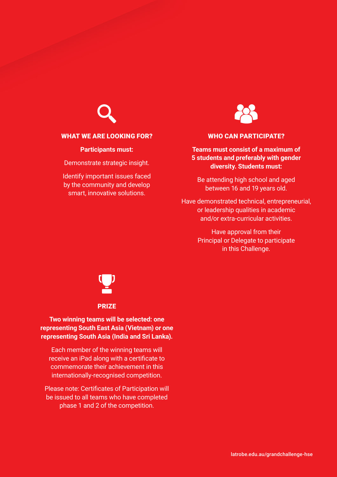

### WHAT WE ARE LOOKING FOR?

**Participants must:**

Demonstrate strategic insight.

Identify important issues faced by the community and develop smart, innovative solutions.



## WHO CAN PARTICIPATE?

## **Teams must consist of a maximum of 5 students and preferably with gender diversity. Students must:**

Be attending high school and aged between 16 and 19 years old.

Have demonstrated technical, entrepreneurial, or leadership qualities in academic and/or extra-curricular activities.

> Have approval from their Principal or Delegate to participate in this Challenge.



## **Two winning teams will be selected: one representing South East Asia (Vietnam) or one representing South Asia (India and Sri Lanka).**

Each member of the winning teams will receive an iPad along with a certificate to commemorate their achievement in this internationally-recognised competition.

Please note: Certificates of Participation will be issued to all teams who have completed phase 1 and 2 of the competition.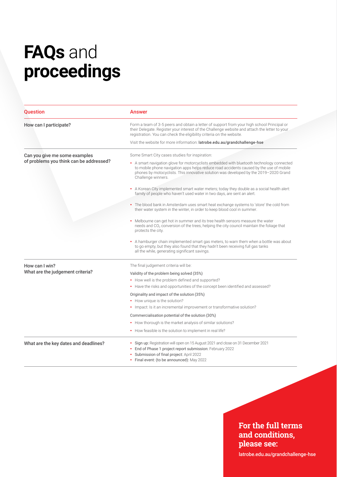## **FAQs** and **proceedings**

| <b>Question</b>                                                          | Answer                                                                                                                                                                                                                                                                                                                                                |
|--------------------------------------------------------------------------|-------------------------------------------------------------------------------------------------------------------------------------------------------------------------------------------------------------------------------------------------------------------------------------------------------------------------------------------------------|
| How can I participate?                                                   | Form a team of 3-5 peers and obtain a letter of support from your high school Principal or<br>their Delegate. Register your interest of the Challenge website and attach the letter to your<br>registration. You can check the eligibility criteria on the website.                                                                                   |
|                                                                          | Visit the website for more information: latrobe.edu.au/grandchallenge-hse                                                                                                                                                                                                                                                                             |
| Can you give me some examples<br>of problems you think can be addressed? | Some Smart City cases studies for inspiration:<br>• A smart navigation glove for motorcyclists embedded with bluetooth technology connected<br>to mobile phone navigation apps helps reduce road accidents caused by the use of mobile<br>phones by motocyclists. This innovative solution was developed by the 2019-2020 Grand<br>Challenge winners. |
|                                                                          | • A Korean City implemented smart water meters; today they double as a social health alert:<br>family of people who haven't used water in two days, are sent an alert.                                                                                                                                                                                |
|                                                                          | • The blood bank in Amsterdam uses smart heat exchange systems to 'store' the cold from<br>their water system in the winter, in order to keep blood cool in summer.                                                                                                                                                                                   |
|                                                                          | • Melbourne can get hot in summer and its tree health sensors measure the water<br>needs and CO <sub>2</sub> conversion of the trees, helping the city council maintain the foliage that<br>protects the city.                                                                                                                                        |
|                                                                          | • A hamburger chain implemented smart gas meters, to warn them when a bottle was about<br>to go empty, but they also found that they hadn't been receiving full gas tanks<br>all the while, generating significant savings.                                                                                                                           |
| How can I win?<br>What are the judgement criteria?                       | The final judgement criteria will be:                                                                                                                                                                                                                                                                                                                 |
|                                                                          | Validity of the problem being solved (35%)                                                                                                                                                                                                                                                                                                            |
|                                                                          | • How well is the problem defined and supported?                                                                                                                                                                                                                                                                                                      |
|                                                                          | • Have the risks and opportunities of the concept been identified and assessed?                                                                                                                                                                                                                                                                       |
|                                                                          | Originality and impact of the solution (35%)                                                                                                                                                                                                                                                                                                          |
|                                                                          | • How unique is the solution?                                                                                                                                                                                                                                                                                                                         |
|                                                                          | • Impact: Is it an incremental improvement or transformative solution?                                                                                                                                                                                                                                                                                |
|                                                                          | Commercialisation potential of the solution (30%)                                                                                                                                                                                                                                                                                                     |
|                                                                          | • How thorough is the market analysis of similar solutions?                                                                                                                                                                                                                                                                                           |
|                                                                          | • How feasible is the solution to implement in real life?                                                                                                                                                                                                                                                                                             |
| What are the key dates and deadlines?                                    | • Sign up: Registration will open on 15 August 2021 and close on 31 December 2021<br>• End of Phase 1 project report submission: February 2022<br>• Submission of final project: April 2022<br>• Final event: (to be announced): May 2022                                                                                                             |

## **For the full terms and conditions, please see:**

[latrobe.edu.au/grandchallenge-hse](http://latrobe.edu.au/grandchallenge-hse)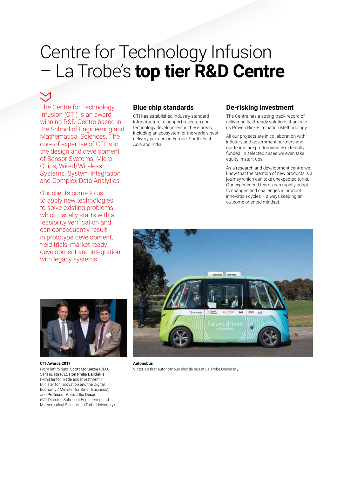## Centre for Technology Infusion – La Trobe's **top tier R&D Centre**

The Centre for Technology Infusion (CTI) is an award winning R&D Centre based in the School of Engineering and Mathematical Sciences. The core of expertise of CTI is in the design and development of Sensor Systems, Micro Chips, Wired/Wireless Systems, System Integration and Complex Data Analytics.

Our clients come to us to apply new technologies to solve existing problems, which usually starts with a feasibility verification and can consequently result in prototype development, field trials, market ready development and integration with legacy systems.

## **Blue chip standards**

CTI has established industry standard infrastructure to support research and technology development in these areas, including an ecosystem of the world's best delivery partners in Europe, South-East Asia and India.

### **De-risking investment**

The Centre has a strong track record of delivering field-ready solutions thanks to its Proven Risk Elimination Methodology.

All our projects are in collaboration with industry and government partners and our teams are predominantly externally funded. In selected cases we even take equity in start-ups.

As a research and development centre we know that the creation of new products is a journey which can take unexpected turns. Our experienced teams can rapidly adapt to changes and challenges in product innovation cycles – always keeping an outcome oriented mindset.



### **CTI Awards 2017**  *From left to right:* Scott McKenzie (CEO, SensaData P/L), Hon Philip Dalidakis (Minister for Trade and Investment / Minister for Innovation and the Digital Economy / Minister for Small Business), and Professor Aniruddha Desai (CTI Director, School of Engineering and Mathematical Science, La Trobe University).



**Autonobus** Victoria's first autonomous shuttle bus at La Trobe University.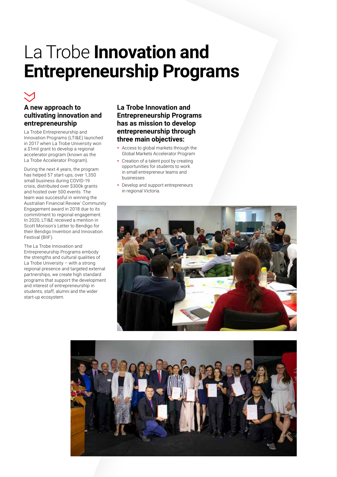## La Trobe **Innovation and Entrepreneurship Programs**

## **A new approach to cultivating innovation and entrepreneurship**

La Trobe Entrepreneurship and Innovation Programs (LTI&E) launched in 2017 when La Trobe University won a \$1mil grant to develop a regional accelerator program (known as the La Trobe Accelerator Program).

During the next 4 years, the program has helped 57 start-ups, over 1,350 small business during COVID-19 crisis, distributed over \$300k grants and hosted over 500 events. The team was successful in winning the Australian Financial Review' Community Engagement award in 2018 due to its commitment to regional engagement. In 2020, LTI&E received a mention in Scott Morison's Letter to Bendigo for their Bendigo Invention and Innovation Festival (BIIF).

The La Trobe Innovation and Entrepreneurship Programs embody the strengths and cultural qualities of La Trobe University – with a strong regional presence and targeted external partnerships, we create high standard programs that support the development and interest of entrepreneurship in students, staff, alumni and the wider start-up ecosystem.

## **La Trobe Innovation and Entrepreneurship Programs has as mission to develop entrepreneurship through three main objectives:**

- Access to global markets through the Global Markets Accelerator Program
- Creation of a talent pool by creating opportunities for students to work in small entrepreneur teams and businesses
- Develop and support entrepreneurs in regional Victoria.



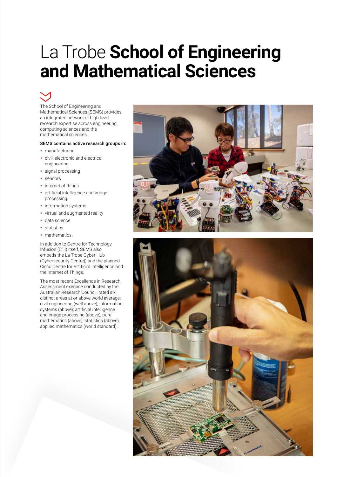## La Trobe **School of Engineering and Mathematical Sciences**



The School of Engineering and Mathematical Sciences (SEMS) provides an integrated network of high-level research expertise across engineering, computing sciences and the mathematical sciences.

### SEMS contains active research groups in:

- manufacturing
- civil, electronic and electrical engineering
- signal processing
- sensors
- internet of things
- artificial intelligence and image processing
- information systems
- virtual and augmented reality
- data science
- statistics
- mathematics

In addition to Centre for Technology Infusion (CTI) itself, SEMS also embeds the La Trobe Cyber Hub (Cybersecurity Centre)) and the planned Cisco Centre for Artificial Intelligence and the Internet of Things.

The most recent Excellence in Research Assessment exercise conducted by the Australian Research Council, rated six distinct areas at or above world average: civil engineering (well above); information systems (above); artificial intelligence and image processing (above); pure mathematics (above); statistics (above); applied mathematics (world standard).



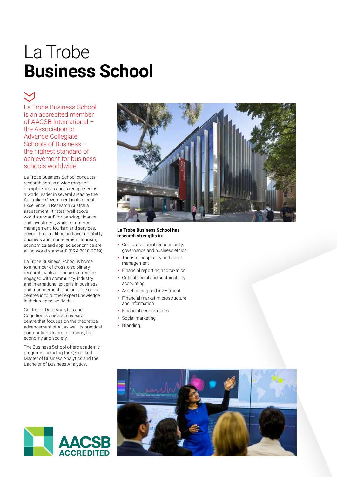## La Trobe **Business School**

La Trobe Business School is an accredited member of AACSB International – the Association to Advance Collegiate Schools of Business – the highest standard of achievement for business schools worldwide.

La Trobe Business School conducts research across a wide range of discipline areas and is recognised as a world leader in several areas by the Australian Government in its recent Excellence in Research Australia assessment. It rates "well above world standard" for banking, finance and investment, while commerce, management, tourism and services, accounting, auditing and accountability, business and management, tourism, economics and applied economics are all "at world standard" (ERA 2018-2019).

La Trobe Business School is home to a number of cross-disciplinary research centres. These centres are engaged with community, industry and international experts in business and management. The purpose of the centres is to further expert knowledge in their respective fields.

Centre for Data Analytics and Cognition is one such research centre that focuses on the theoretical advancement of AI, as well its practical contributions to organisations, the economy and society.

The Business School offers academic programs including the QS ranked Master of Business Analytics and the Bachelor of Business Analytics.



### **La Trobe Business School has research strengths in:**

- Corporate social responsibility, governance and business ethics
- Tourism, hospitality and event management
- Financial reporting and taxation
- Critical social and sustainability accounting
- Asset pricing and investment
- Financial market microstructure and information
- Financial econometrics
- Social marketing
- Branding.



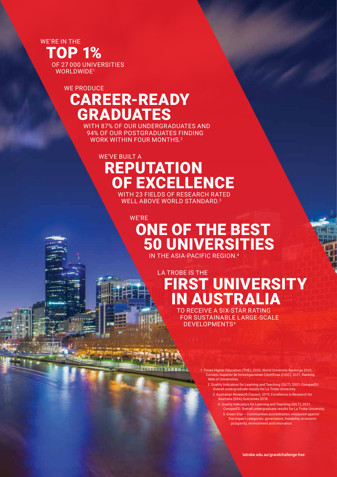WE'RE IN THE TOP 1% OF 27000 UNIVERSITIES WORLDWIDE1

## WE PRODUCE CAREER-READY GRADUATES

WITH 87% OF OUR UNDERGRADUATES AND 94% OF OUR POSTGRADUATES FINDING WORK WITHIN FOUR MONTHS.<sup>2</sup>

## WE'VE BUILT A REPUTATION OF EXCELLENCE

itika i kampan

WITH 23 FIELDS OF RESEARCH RATED WELL ABOVE WORLD STANDARD.<sup>3</sup>

## WE'RE ONE OF THE BEST 50 UNIVERSITIES IN THE ASIA-PACIFIC REGION.<sup>4</sup>

## LA TROBE IS THE FIRST UNIVERSITY IN AUSTRALIA

TO RECEIVE A SIX-STAR RATING FOR SUSTAINABLE LARGE-SCALE DEVELOPMENTS4

> 1. Times Higher Education (THE), 2020, World University Rankings 2021; Consejo Superior de Investigaciones Científicas (CSIC), 2021, Ranking Web of Universities.

- 2. Quality Indicators for Learning and Teaching (QILT), 2021, ComparED Overall undergraduate results for La Trobe University. 3. Australian Research Council, 2019, Excellence in Research for
	- Australia (ERA) Outcomes 2018.

4. Quality Indicators for Learning and Teaching (QILT), 2021, ComparED: Overall undergraduate results for La Trobe University. 5. Green Star – Communities accreditation, measured against five impact categories: governance, liveability, economic prosperity, environment and innovation

[latrobe.edu.au/grandchallenge-hse](http://latrobe.edu.au/grandchallenge-hse)